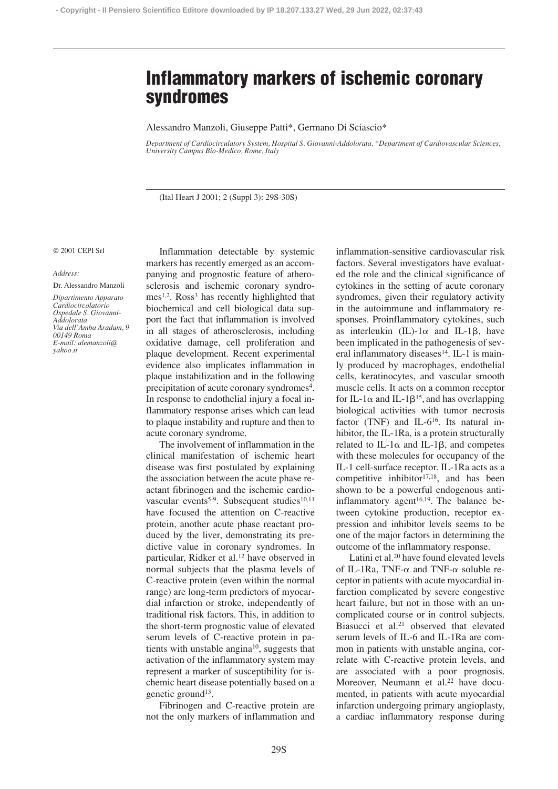# **Inflammatory markers of ischemic coronary syndromes**

Alessandro Manzoli, Giuseppe Patti\*, Germano Di Sciascio\*

*Department of Cardiocirculatory System, Hospital S. Giovanni-Addolorata, \*Department of Cardiovascular Sciences, University Campus Bio-Medico, Rome, Italy*

(Ital Heart J 2001; 2 (Suppl 3): 29S-30S)

## © 2001 CEPI Srl

#### *Address:*

Dr. Alessandro Manzoli

*Dipartimento Apparato Cardiocircolatorio Ospedale S. Giovanni-Addolorata Via dell'Amba Aradam, 9 00149 Roma E-mail: alemanzoli@ yahoo.it*

Inflammation detectable by systemic markers has recently emerged as an accompanying and prognostic feature of atherosclerosis and ischemic coronary syndromes<sup>1,2</sup>. Ross<sup>3</sup> has recently highlighted that biochemical and cell biological data support the fact that inflammation is involved in all stages of atherosclerosis, including oxidative damage, cell proliferation and plaque development. Recent experimental evidence also implicates inflammation in plaque instabilization and in the following precipitation of acute coronary syndromes<sup>4</sup>. In response to endothelial injury a focal inflammatory response arises which can lead to plaque instability and rupture and then to acute coronary syndrome.

The involvement of inflammation in the clinical manifestation of ischemic heart disease was first postulated by explaining the association between the acute phase reactant fibrinogen and the ischemic cardiovascular events<sup>5-9</sup>. Subsequent studies<sup>10,11</sup> have focused the attention on C-reactive protein, another acute phase reactant produced by the liver, demonstrating its predictive value in coronary syndromes. In particular, Ridker et al.12 have observed in normal subjects that the plasma levels of C-reactive protein (even within the normal range) are long-term predictors of myocardial infarction or stroke, independently of traditional risk factors. This, in addition to the short-term prognostic value of elevated serum levels of C-reactive protein in patients with unstable angina<sup>10</sup>, suggests that activation of the inflammatory system may represent a marker of susceptibility for ischemic heart disease potentially based on a genetic ground<sup>13</sup>.

Fibrinogen and C-reactive protein are not the only markers of inflammation and inflammation-sensitive cardiovascular risk factors. Several investigators have evaluated the role and the clinical significance of cytokines in the setting of acute coronary syndromes, given their regulatory activity in the autoimmune and inflammatory responses. Proinflammatory cytokines, such as interleukin (IL)- $1\alpha$  and IL-1 $\beta$ , have been implicated in the pathogenesis of several inflammatory diseases<sup>14</sup>. IL-1 is mainly produced by macrophages, endothelial cells, keratinocytes, and vascular smooth muscle cells. It acts on a common receptor for IL-1 $\alpha$  and IL-1 $\beta$ <sup>15</sup>, and has overlapping biological activities with tumor necrosis factor (TNF) and IL- $6^{16}$ . Its natural inhibitor, the IL-1Ra, is a protein structurally related to IL-1 $\alpha$  and IL-1 $\beta$ , and competes with these molecules for occupancy of the IL-1 cell-surface receptor. IL-1Ra acts as a competitive inhibitor $17,18$ , and has been shown to be a powerful endogenous antiinflammatory agent<sup>16,19</sup>. The balance between cytokine production, receptor expression and inhibitor levels seems to be one of the major factors in determining the outcome of the inflammatory response.

Latini et al.<sup>20</sup> have found elevated levels of IL-1Ra, TNF- $\alpha$  and TNF- $\alpha$  soluble receptor in patients with acute myocardial infarction complicated by severe congestive heart failure, but not in those with an uncomplicated course or in control subjects. Biasucci et al.<sup>21</sup> observed that elevated serum levels of IL-6 and IL-1Ra are common in patients with unstable angina, correlate with C-reactive protein levels, and are associated with a poor prognosis. Moreover, Neumann et al.<sup>22</sup> have documented, in patients with acute myocardial infarction undergoing primary angioplasty, a cardiac inflammatory response during